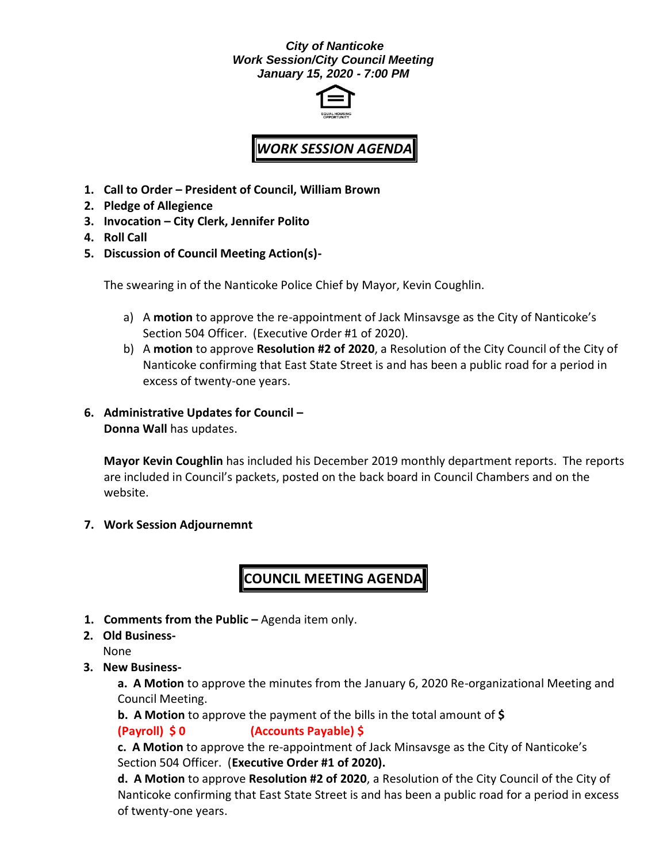#### *City of Nanticoke Work Session/City Council Meeting January 15, 2020 - 7:00 PM*



# *WORK SESSION AGENDA*

- **1. Call to Order – President of Council, William Brown**
- **2. Pledge of Allegience**
- **3. Invocation – City Clerk, Jennifer Polito**
- **4. Roll Call**
- **5. Discussion of Council Meeting Action(s)-**

The swearing in of the Nanticoke Police Chief by Mayor, Kevin Coughlin.

- a) A **motion** to approve the re-appointment of Jack Minsavsge as the City of Nanticoke's Section 504 Officer. (Executive Order #1 of 2020).
- b) A **motion** to approve **Resolution #2 of 2020**, a Resolution of the City Council of the City of Nanticoke confirming that East State Street is and has been a public road for a period in excess of twenty-one years.
- **6. Administrative Updates for Council – Donna Wall** has updates.

**Mayor Kevin Coughlin** has included his December 2019 monthly department reports. The reports are included in Council's packets, posted on the back board in Council Chambers and on the website.

**7. Work Session Adjournemnt**

## **COUNCIL MEETING AGENDA**

- **1. Comments from the Public –** Agenda item only.
- **2. Old Business-**

None

**3. New Business-**

**a. A Motion** to approve the minutes from the January 6, 2020 Re-organizational Meeting and Council Meeting.

**b. A Motion** to approve the payment of the bills in the total amount of **\$**

**(Payroll) \$ 0 (Accounts Payable) \$**

**c. A Motion** to approve the re-appointment of Jack Minsavsge as the City of Nanticoke's Section 504 Officer. (**Executive Order #1 of 2020).** 

**d. A Motion** to approve **Resolution #2 of 2020**, a Resolution of the City Council of the City of Nanticoke confirming that East State Street is and has been a public road for a period in excess of twenty-one years.